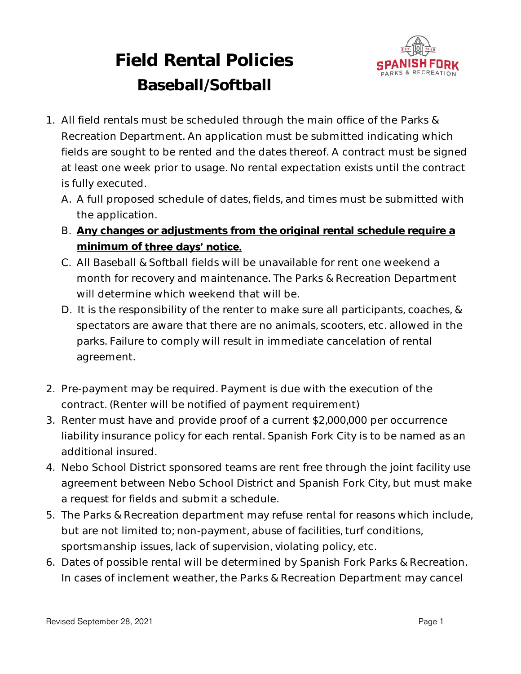

# **Field Rental Policies Baseball/Softball**

- 1. All field rentals must be scheduled through the main office of the Parks & Recreation Department. An application must be submitted indicating which fields are sought to be rented and the dates thereof. A contract must be signed at least one week prior to usage. No rental expectation exists until the contract is fully executed.
	- A. A full proposed schedule of dates, fields, and times must be submitted with the application.
	- B. **Any changes or adjustments from the original rental schedule require a**  minimum of **three days' notice.**
	- C. All Baseball & Softball fields will be unavailable for rent one weekend a month for recovery and maintenance. The Parks & Recreation Department will determine which weekend that will be.
	- D. It is the responsibility of the renter to make sure all participants, coaches, & spectators are aware that there are no animals, scooters, etc. allowed in the parks. Failure to comply will result in immediate cancelation of rental agreement.
- 2. Pre-payment may be required. Payment is due with the execution of the contract. (Renter will be notified of payment requirement)
- 3. Renter must have and provide proof of a current \$2,000,000 per occurrence liability insurance policy for each rental. Spanish Fork City is to be named as an additional insured.
- 4. Nebo School District sponsored teams are rent free through the joint facility use agreement between Nebo School District and Spanish Fork City, but must make a request for fields and submit a schedule.
- 5. The Parks & Recreation department may refuse rental for reasons which include, but are not limited to; non-payment, abuse of facilities, turf conditions, sportsmanship issues, lack of supervision, violating policy, etc.
- 6. Dates of possible rental will be determined by Spanish Fork Parks & Recreation. In cases of inclement weather, the Parks & Recreation Department may cancel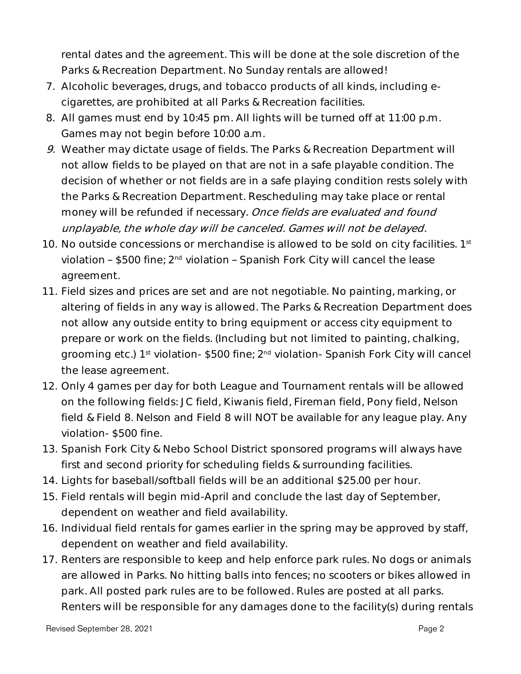rental dates and the agreement. This will be done at the sole discretion of the Parks & Recreation Department. No Sunday rentals are allowed!

- 7. Alcoholic beverages, drugs, and tobacco products of all kinds, including ecigarettes, are prohibited at all Parks & Recreation facilities.
- 8. All games must end by 10:45 pm. All lights will be turned off at 11:00 p.m. Games may not begin before 10:00 a.m.
- 9. Weather may dictate usage of fields. The Parks & Recreation Department will not allow fields to be played on that are not in a safe playable condition. The decision of whether or not fields are in a safe playing condition rests solely with the Parks & Recreation Department. Rescheduling may take place or rental money will be refunded if necessary. Once fields are evaluated and found unplayable, the whole day will be canceled. Games will not be delayed.
- 10. No outside concessions or merchandise is allowed to be sold on city facilities. 1st violation – \$500 fine; 2<sup>nd</sup> violation – Spanish Fork City will cancel the lease agreement.
- 11. Field sizes and prices are set and are not negotiable. No painting, marking, or altering of fields in any way is allowed. The Parks & Recreation Department does not allow any outside entity to bring equipment or access city equipment to prepare or work on the fields. (Including but not limited to painting, chalking, grooming etc.) 1<sup>st</sup> violation- \$500 fine; 2<sup>nd</sup> violation- Spanish Fork City will cancel the lease agreement.
- 12. Only 4 games per day for both League and Tournament rentals will be allowed on the following fields: JC field, Kiwanis field, Fireman field, Pony field, Nelson field & Field 8. Nelson and Field 8 will NOT be available for any league play. Any violation- \$500 fine.
- 13. Spanish Fork City & Nebo School District sponsored programs will always have first and second priority for scheduling fields & surrounding facilities.
- 14. Lights for baseball/softball fields will be an additional \$25.00 per hour.
- 15. Field rentals will begin mid-April and conclude the last day of September, dependent on weather and field availability.
- 16. Individual field rentals for games earlier in the spring may be approved by staff, dependent on weather and field availability.
- 17. Renters are responsible to keep and help enforce park rules. No dogs or animals are allowed in Parks. No hitting balls into fences; no scooters or bikes allowed in park. All posted park rules are to be followed. Rules are posted at all parks. Renters will be responsible for any damages done to the facility(s) during rentals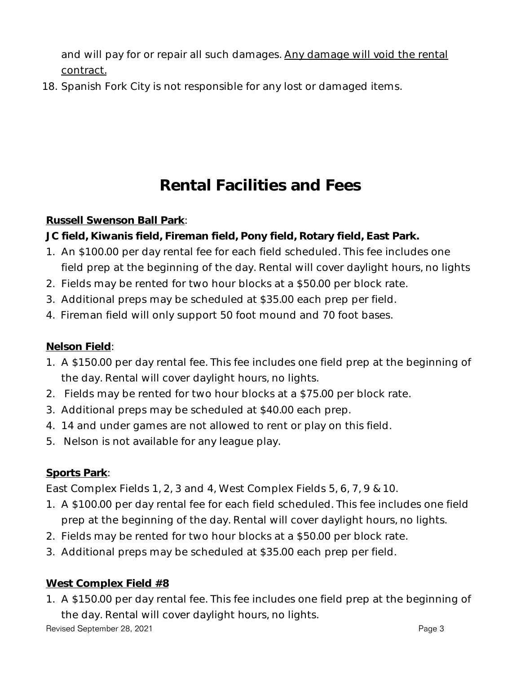and will pay for or repair all such damages. Any damage will void the rental contract.

18. Spanish Fork City is not responsible for any lost or damaged items.

## **Rental Facilities and Fees**

#### **Russell Swenson Ball Park**:

**JC field, Kiwanis field, Fireman field, Pony field, Rotary field, East Park.**

- 1. An \$100.00 per day rental fee for each field scheduled. This fee includes one field prep at the beginning of the day. Rental will cover daylight hours, no lights
- 2. Fields may be rented for two hour blocks at a \$50.00 per block rate.
- 3. Additional preps may be scheduled at \$35.00 each prep per field.
- 4. Fireman field will only support 50 foot mound and 70 foot bases.

#### **Nelson Field**:

- 1. A \$150.00 per day rental fee. This fee includes one field prep at the beginning of the day. Rental will cover daylight hours, no lights.
- 2. Fields may be rented for two hour blocks at a \$75.00 per block rate.
- 3. Additional preps may be scheduled at \$40.00 each prep.
- 4. 14 and under games are not allowed to rent or play on this field.
- 5. Nelson is not available for any league play.

#### **Sports Park**:

East Complex Fields 1, 2, 3 and 4, West Complex Fields 5, 6, 7, 9 & 10.

- 1. A \$100.00 per day rental fee for each field scheduled. This fee includes one field prep at the beginning of the day. Rental will cover daylight hours, no lights.
- 2. Fields may be rented for two hour blocks at a \$50.00 per block rate.
- 3. Additional preps may be scheduled at \$35.00 each prep per field.

#### **West Complex Field #8**

1. A \$150.00 per day rental fee. This fee includes one field prep at the beginning of the day. Rental will cover daylight hours, no lights.

Revised September 28, 2021 **Page 3** and the september 28, 2021